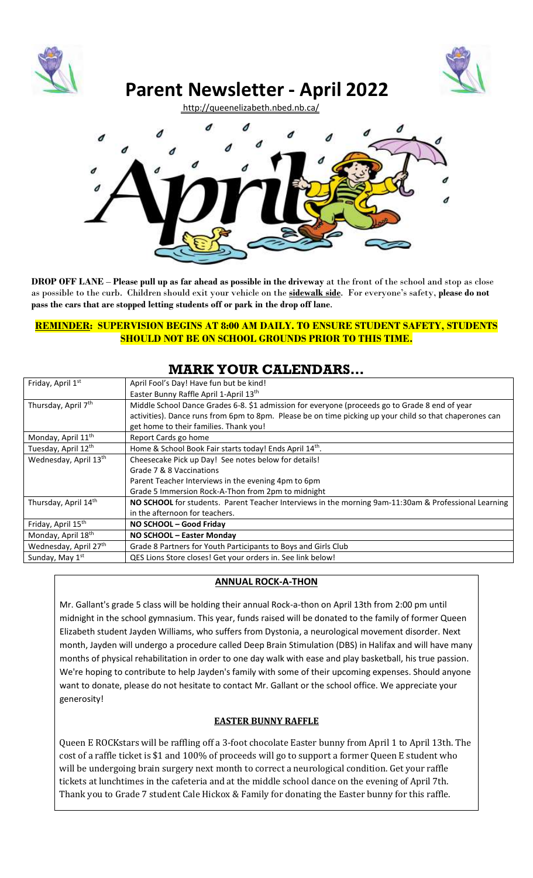



# **Parent Newsletter - April 2022**

<http://queenelizabeth.nbed.nb.ca/>



**DROP OFF LANE** – **Please pull up as far ahead as possible in the driveway** at the front of the school and stop as close as possible to the curb. Children should exit your vehicle on the **sidewalk side**. For everyone's safety, **please do not pass the cars that are stopped letting students off or park in the drop off lane**.

### **REMINDER: SUPERVISION BEGINS AT 8:00 AM DAILY. TO ENSURE STUDENT SAFETY, STUDENTS SHOULD NOT BE ON SCHOOL GROUNDS PRIOR TO THIS TIME.**

# **MARK YOUR CALENDARS…**

| Friday, April 1st              | April Fool's Day! Have fun but be kind!                                                                 |
|--------------------------------|---------------------------------------------------------------------------------------------------------|
|                                | Easter Bunny Raffle April 1-April 13th                                                                  |
| Thursday, April 7th            | Middle School Dance Grades 6-8. \$1 admission for everyone (proceeds go to Grade 8 end of year          |
|                                | activities). Dance runs from 6pm to 8pm. Please be on time picking up your child so that chaperones can |
|                                | get home to their families. Thank you!                                                                  |
| Monday, April 11 <sup>th</sup> | Report Cards go home                                                                                    |
| Tuesday, April 12th            | Home & School Book Fair starts today! Ends April 14th.                                                  |
| Wednesday, April 13th          | Cheesecake Pick up Day! See notes below for details!                                                    |
|                                | Grade 7 & 8 Vaccinations                                                                                |
|                                | Parent Teacher Interviews in the evening 4pm to 6pm                                                     |
|                                | Grade 5 Immersion Rock-A-Thon from 2pm to midnight                                                      |
| Thursday, April 14th           | NO SCHOOL for students. Parent Teacher Interviews in the morning 9am-11:30am & Professional Learning    |
|                                | in the afternoon for teachers.                                                                          |
| Friday, April 15 <sup>th</sup> | NO SCHOOL - Good Friday                                                                                 |
| Monday, April 18 <sup>th</sup> | NO SCHOOL - Easter Monday                                                                               |
| Wednesday, April 27th          | Grade 8 Partners for Youth Participants to Boys and Girls Club                                          |
| Sunday, May 1 <sup>st</sup>    | QES Lions Store closes! Get your orders in. See link below!                                             |

# **ANNUAL ROCK-A-THON**

Mr. Gallant's grade 5 class will be holding their annual Rock-a-thon on April 13th from 2:00 pm until midnight in the school gymnasium. This year, funds raised will be donated to the family of former Queen Elizabeth student Jayden Williams, who suffers from Dystonia, a neurological movement disorder. Next month, Jayden will undergo a procedure called Deep Brain Stimulation (DBS) in Halifax and will have many months of physical rehabilitation in order to one day walk with ease and play basketball, his true passion. We're hoping to contribute to help Jayden's family with some of their upcoming expenses. Should anyone want to donate, please do not hesitate to contact Mr. Gallant or the school office. We appreciate your generosity!

## **EASTER BUNNY RAFFLE**

Queen E ROCKstars will be raffling off a 3-foot chocolate Easter bunny from April 1 to April 13th. The cost of a raffle ticket is \$1 and 100% of proceeds will go to support a former Queen E student who will be undergoing brain surgery next month to correct a neurological condition. Get your raffle tickets at lunchtimes in the cafeteria and at the middle school dance on the evening of April 7th. Thank you to Grade 7 student Cale Hickox & Family for donating the Easter bunny for this raffle.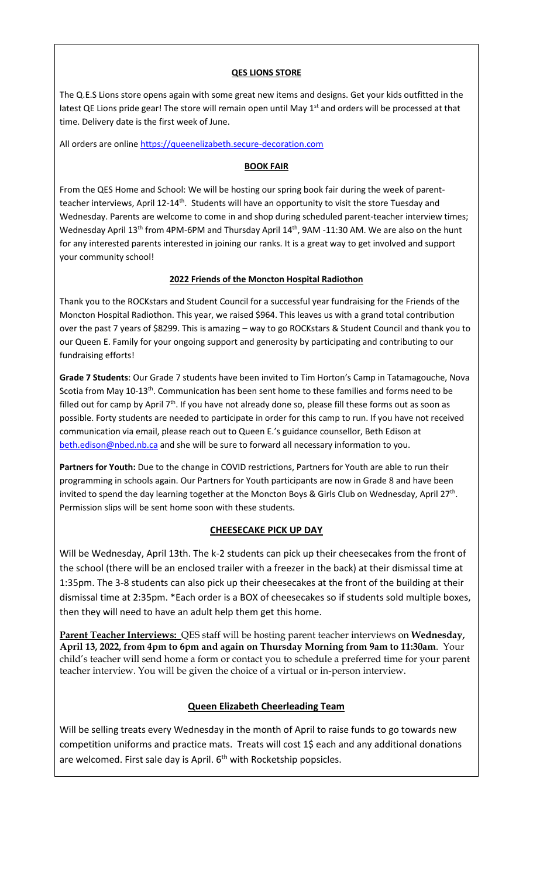#### **QES LIONS STORE**

The Q.E.S Lions store opens again with some great new items and designs. Get your kids outfitted in the latest QE Lions pride gear! The store will remain open until May 1<sup>st</sup> and orders will be processed at that time. Delivery date is the first week of June.

All orders are online [https://queenelizabeth.secure-decoration.com](https://can01.safelinks.protection.outlook.com/?url=https%3A%2F%2Fqueenelizabeth.secure-decoration.com%2F&data=04%7C01%7CTerry.Weir%40nbed.nb.ca%7Cefbc3004d8ac4bc13d2208da130b2eec%7C4d2b5fdfc4d24911870968cc2f465c9f%7C0%7C0%7C637843235984656918%7CUnknown%7CTWFpbGZsb3d8eyJWIjoiMC4wLjAwMDAiLCJQIjoiV2luMzIiLCJBTiI6Ik1haWwiLCJXVCI6Mn0%3D%7C3000&sdata=L2V10ZbJTldbXCIFMJCDapJa4yFsGlOGtRxahBJkWIw%3D&reserved=0)

#### **BOOK FAIR**

From the QES Home and School: We will be hosting our spring book fair during the week of parentteacher interviews, April 12-14<sup>th</sup>. Students will have an opportunity to visit the store Tuesday and Wednesday. Parents are welcome to come in and shop during scheduled parent-teacher interview times; Wednesday April 13<sup>th</sup> from 4PM-6PM and Thursday April 14<sup>th</sup>, 9AM -11:30 AM. We are also on the hunt for any interested parents interested in joining our ranks. It is a great way to get involved and support your community school!

#### **2022 Friends of the Moncton Hospital Radiothon**

Thank you to the ROCKstars and Student Council for a successful year fundraising for the Friends of the Moncton Hospital Radiothon. This year, we raised \$964. This leaves us with a grand total contribution over the past 7 years of \$8299. This is amazing – way to go ROCKstars & Student Council and thank you to our Queen E. Family for your ongoing support and generosity by participating and contributing to our fundraising efforts!

**Grade 7 Students**: Our Grade 7 students have been invited to Tim Horton's Camp in Tatamagouche, Nova Scotia from May 10-13<sup>th</sup>. Communication has been sent home to these families and forms need to be filled out for camp by April  $7<sup>th</sup>$ . If you have not already done so, please fill these forms out as soon as possible. Forty students are needed to participate in order for this camp to run. If you have not received communication via email, please reach out to Queen E.'s guidance counsellor, Beth Edison at [beth.edison@nbed.nb.ca](mailto:beth.edison@nbed.nb.ca) and she will be sure to forward all necessary information to you.

**Partners for Youth:** Due to the change in COVID restrictions, Partners for Youth are able to run their programming in schools again. Our Partners for Youth participants are now in Grade 8 and have been invited to spend the day learning together at the Moncton Boys & Girls Club on Wednesday, April 27<sup>th</sup>. Permission slips will be sent home soon with these students.

#### **CHEESECAKE PICK UP DAY**

Will be Wednesday, April 13th. The k-2 students can pick up their cheesecakes from the front of the school (there will be an enclosed trailer with a freezer in the back) at their dismissal time at 1:35pm. The 3-8 students can also pick up their cheesecakes at the front of the building at their dismissal time at 2:35pm. \*Each order is a BOX of cheesecakes so if students sold multiple boxes, then they will need to have an adult help them get this home.

**Parent Teacher Interviews:** QES staff will be hosting parent teacher interviews on **Wednesday, April 13, 2022, from 4pm to 6pm and again on Thursday Morning from 9am to 11:30am**. Your child's teacher will send home a form or contact you to schedule a preferred time for your parent teacher interview. You will be given the choice of a virtual or in-person interview.

## **Queen Elizabeth Cheerleading Team**

Will be selling treats every Wednesday in the month of April to raise funds to go towards new competition uniforms and practice mats. Treats will cost 1\$ each and any additional donations are welcomed. First sale day is April. 6<sup>th</sup> with Rocketship popsicles.